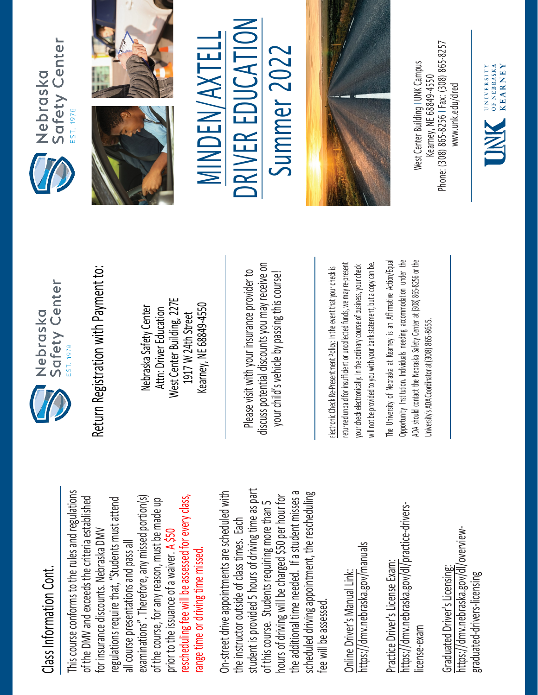## Class Information Cont. Class Information Cont.

This course conforms to the rules and regulations This course conforms to the rules and regulations rescheduling fee will be assessed for every class, examinations". Therefore, any missed portion(s) of the DMV and exceeds the criteria established regulations require that, "Students must attend of the DMV and exceeds the criteria established examinations". Therefore, any missed portion(s) of the course, for any reason, must be made up rescheduling fee will be assessed for every class, regulations require that, "Students must attend of the course, for any reason, must be made up for insurance discounts. Nebraska DMV for insurance discounts. Nebraska DMV prior to the issuance of a waiver. A \$50 all course presentations and pass all all course presentations and pass all range time or driving time missed. prior to the issuance of a waiver. range time or driving time missed

student is provided 5 hours of driving time as part On-street drive appointments are scheduled with student is provided 5 hours of driving time as part the additional time needed. If a student misses a scheduled driving appointment, the rescheduling the additional time needed. If a student misses a On-street drive appointments are scheduled with hours of driving will be charged \$50 per hour for hours of driving will be charged \$50 per hour for scheduled driving appointment, the rescheduling of this course. Students requiring more than 5 of this course. Students requiring more than 5 the instructor outside of class times. Each the instructor outside of class times. Each fee will be assessed. fee will be assessed

https://dmv.nebraska.gov/manuals https://dmv.nebraska.gov/manuals Online Driver's Manual Link: Online Driver's Manual Link:

https://dmv.nebraska.gov/dl/practice-drivershttps://dmv.nebraska.gov/dl/practice-drivers-Practice Driver's License Exam: Practice Driver's License Exam: license-exam icense-exam

https://dmv.nebraska.gov/dl/overviewhttps://dmv.nebraska.gov/dl/overview-Graduated Driver's Licensing: Graduated Driver's Licensing: graduated-drivers-licensing graduated-drivers-licensing



Nebraska Safety Center Attn: Driver Education West Center Building, 227E 1917 W 24th Street Kearney, NE 68849-4550

Please visit with your insurance provider to discuss potential discounts you may receive on otential discounts you may receive on your child's vehicle by passing this course! Return Registration with Payment to:<br>
Nebraska Safety Center<br>
Attn: Driver Education<br>
1917 W 24th Street<br>
Rearney, NE 68849-4550<br>
Rease visit with your insurance provider to<br>
Please visit with your insurance provider to<br>
y

returned unpaid for insufficient or uncollected funds, we may re-present a copy can be. returned unpaid for insufficient or uncollected funds, we may re-present will not be provided to you with your bank statement, but a copy can be. your check electronically. In the ordinary course of business, your check your check electronically. In the ordinary course of business, your check will not be provided to you with your bank statement, but

The University of Nebraska at Kearney is an Affirmative Action/Equal The University of Nebraska at Kearney is an Affirmative Action/Equal Opportunity Institution. Individuals needing accommodation under the ADA should contact the Nebraska Safety Center at (308) 865-8256 or the Opportunity Institution. Individuals needing accommodation under the ADA should contact the Nebraska Safety Center at (308) 865-8256 or the Jniversity's ADA Coordinator at (308) 865-8655. University's ADA Coordinator at (308) 86







 $\frac{1}{2}$ MINDEN/AXTELL MINDEN/AXTELL Summer 2022 Summer 202 R EDUCA E RIV D



Phone: (308) 865-8256 | Fax: (308) 865-8257 West Center Building I UNK Campus Nest Center Building I UNK Campus -8256 I Fax: (308) 865 Kearney, NE 68849-4550 www.unk.edu/dred [www.unk.edu/dred](http://www.unk.edu/dred) Kearney, NE 68849 Phone: (308) 865

UNIVERSITY<br>
OF NEBRASKA<br>
KFARNEY

**KEARNEY**